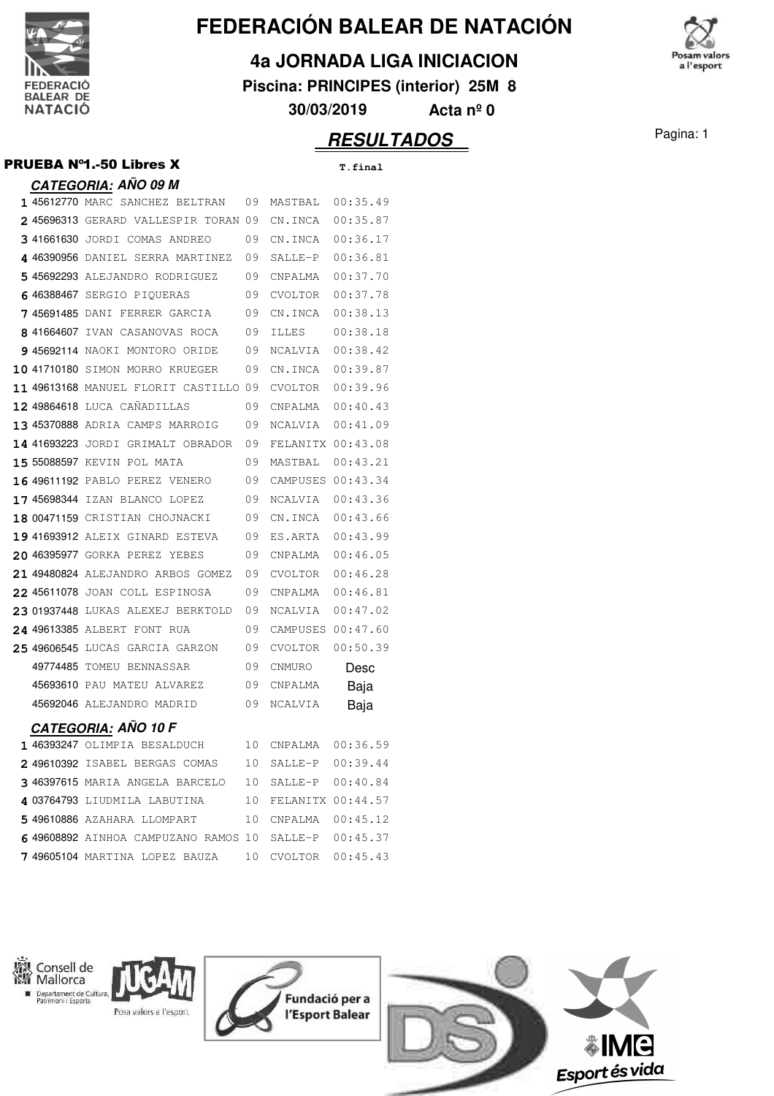

# **FEDERACIÓN BALEAR DE NATACIÓN**

### **4a JORNADA LIGA INICIACION**

**Piscina: PRINCIPES (interior) 25M 8**

'osam valors a l'esport

**30/03/2019 Acta nº 0**

## **RESULTADOS** Pagina: 1

|                                         |    |              | <i><b>RESULT</b></i> |
|-----------------------------------------|----|--------------|----------------------|
| PRUEBA Nº1.-50 Libres X                 |    |              | T.final              |
| <b>CATEGORIA: AÑO 09 M</b>              |    |              |                      |
| 1 45612770 MARC SANCHEZ BELTRAN         | 09 | MASTBAL      | 00:35.49             |
| 245696313 GERARD VALLESPIR TORAN 09     |    | CN.INCA      | 00:35.87             |
| 341661630 JORDI COMAS ANDREO            | 09 | CN.INCA      | 00:36.17             |
| <b>4 46390956</b> daniel serra martinez | 09 | SALLE-P      | 00:36.81             |
| 5 45692293 ALEJANDRO RODRIGUEZ          | 09 | CNPALMA      | 00:37.70             |
| 6 46388467 SERGIO PIOUERAS              | 09 | CVOLTOR      | 00:37.78             |
| 7 45691485 DANI FERRER GARCIA           | 09 | CN. TNCA     | 00:38.13             |
| 8 41664607 IVAN CASANOVAS ROCA          | 09 | <b>ILLES</b> | 00:38.18             |
| 9 45692114 NAOKI MONTORO ORIDE          | 09 | NCALVIA      | 00:38.42             |
| 10 41710180 SIMON MORRO KRUEGER         | 09 | CN.INCA      | 00:39.87             |
| 11 49613168 MANUEL FLORIT CASTILLO 09   |    | CVOLTOR      | 00:39.96             |
| 12 49864618 LUCA CAÑADILLAS             | 09 | CNPALMA      | 00:40.43             |
| 13 45370888 ADRIA CAMPS MARROIG         | 09 | NCALVIA      | 00:41.09             |
| 14 41693223 JORDI GRIMALT OBRADOR       | 09 |              | FELANITX 00:43.08    |
| 15 55088597 KEVIN POL MATA              | 09 | MASTBAL      | 00:43.21             |
| <b>16 49611192 PABLO PEREZ VENERO</b>   | 09 | CAMPUSES     | 00:43.34             |
| 17 45698344 IZAN BLANCO LOPEZ           | 09 | NCALVIA      | 00:43.36             |
| 18 00471159 CRISTIAN CHOJNACKI          | 09 | CN.INCA      | 00:43.66             |
| 19 41693912 ALEIX GINARD ESTEVA         | 09 | ES.ARTA      | 00:43.99             |
| 20 46395977 GORKA PEREZ YEBES           | 09 | CNPALMA      | 00:46.05             |
| 21 49480824 ALEJANDRO ARBOS GOMEZ       | 09 | CVOLTOR      | 00:46.28             |
| 22 45611078 JOAN COLL ESPINOSA          | 09 | CNPALMA      | 00:46.81             |
| 23 01937448 LUKAS ALEXEJ BERKTOLD       | 09 | NCALVIA      | 00:47.02             |
| 24 49613385 ALBERT FONT RUA             | 09 |              | CAMPUSES 00:47.60    |
| 25 49606545 LUCAS GARCIA GARZON         | 09 | CVOLTOR      | 00:50.39             |
| 49774485 TOMEU BENNASSAR                | 09 | CNMURO       | Desc                 |
| 45693610 PAU MATEU ALVAREZ              | 09 | CNPALMA      | Baja                 |
| 45692046 ALEJANDRO MADRID               | 09 | NCALVIA      | Baja                 |
| <b>CATEGORIA: AÑO 10 F</b>              |    |              |                      |
| 1 46393247 OLIMPIA BESALDUCH            | 10 | CNPALMA      | 00:36.59             |
| 2 49610392 ISABEL BERGAS COMAS          | 10 | SALLE-P      | 00:39.44             |





Consell de Departament de Cultura, Posa valors a l'esport